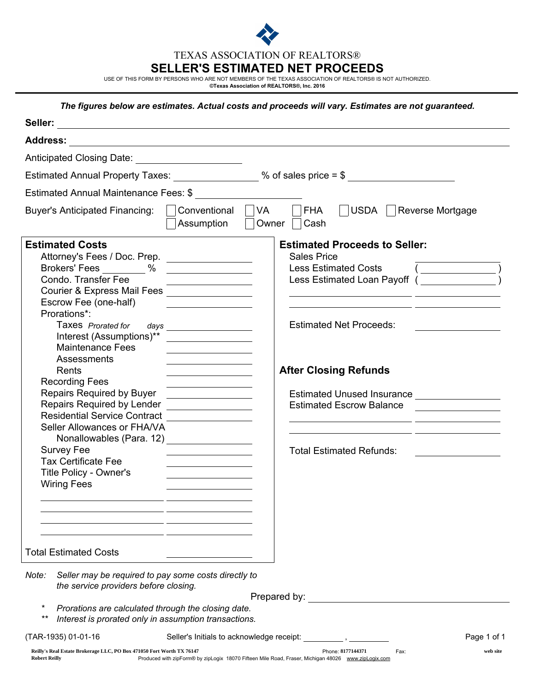

TEXAS ASSOCIATION OF REALTORS®

# SELLER'S ESTIMATED NET PROCEEDS

USE OF THIS FORM BY PERSONS WHO ARE NOT MEMBERS OF THE TEXAS ASSOCIATION OF REALTORS® IS NOT AUTHORIZED.<br>©Texas Association of **REALTORS®, Inc. 2016** 

# *The figures below are estimates. Actual costs and proceeds will vary. Estimates are not guaranteed.*

| Anticipated Closing Date: Anticipated Closing Date:                                                                                                                                                                                                                                                                                                                                                                                                                                                                                                                                                                                                                     |                                                                                                                                                                                                                                                                                                                                                                                                                                                                                                                                                                                                                                                                                                                                                                                                                                                                                                                                                                                         |
|-------------------------------------------------------------------------------------------------------------------------------------------------------------------------------------------------------------------------------------------------------------------------------------------------------------------------------------------------------------------------------------------------------------------------------------------------------------------------------------------------------------------------------------------------------------------------------------------------------------------------------------------------------------------------|-----------------------------------------------------------------------------------------------------------------------------------------------------------------------------------------------------------------------------------------------------------------------------------------------------------------------------------------------------------------------------------------------------------------------------------------------------------------------------------------------------------------------------------------------------------------------------------------------------------------------------------------------------------------------------------------------------------------------------------------------------------------------------------------------------------------------------------------------------------------------------------------------------------------------------------------------------------------------------------------|
|                                                                                                                                                                                                                                                                                                                                                                                                                                                                                                                                                                                                                                                                         | Estimated Annual Property Taxes: _________________ % of sales price = \$ ____________________________                                                                                                                                                                                                                                                                                                                                                                                                                                                                                                                                                                                                                                                                                                                                                                                                                                                                                   |
| Estimated Annual Maintenance Fees: \$                                                                                                                                                                                                                                                                                                                                                                                                                                                                                                                                                                                                                                   |                                                                                                                                                                                                                                                                                                                                                                                                                                                                                                                                                                                                                                                                                                                                                                                                                                                                                                                                                                                         |
| <b>Buyer's Anticipated Financing:</b>                                                                                                                                                                                                                                                                                                                                                                                                                                                                                                                                                                                                                                   | VA<br><b>FHA</b><br>USDA  <br>Conventional<br>Reverse Mortgage<br>Assumption<br>Owner  <br>Cash                                                                                                                                                                                                                                                                                                                                                                                                                                                                                                                                                                                                                                                                                                                                                                                                                                                                                         |
| <b>Estimated Costs</b><br>Attorney's Fees / Doc. Prep. _________________<br>Brokers' Fees ______ % _________________<br>Condo. Transfer Fee<br>Courier & Express Mail Fees _________________<br>Escrow Fee (one-half)<br>Prorations*:<br>Taxes Prorated for<br>Interest (Assumptions)**<br><b>Maintenance Fees</b><br>Assessments<br>Rents<br><b>Recording Fees</b><br>Repairs Required by Buyer _________________<br>Repairs Required by Lender _________________<br><b>Residential Service Contract</b><br>Seller Allowances or FHA/VA<br>Nonallowables (Para. 12)<br><b>Survey Fee</b><br><b>Tax Certificate Fee</b><br>Title Policy - Owner's<br><b>Wiring Fees</b> | <b>Estimated Proceeds to Seller:</b><br><b>Sales Price</b><br><b>Less Estimated Costs</b><br>$(\underline{\hspace{1cm}})$<br>Less Estimated Loan Payoff (Santa Contract Contract Contract Contract Contract Contract Contract Contract Contr<br><u> 1980 - Johann Barn, mars an t-Amerikaansk politiker (</u><br><u> 1989 - Johann Stoff, amerikansk politiker (* 1908)</u><br><b>Estimated Net Proceeds:</b><br>days _______________________<br>the control of the control of the control of the control of the control of<br><b>After Closing Refunds</b><br>the control of the control of the control of<br>Estimated Unused Insurance <b>Latitude 100 and 100 and 100 and 100 and 100 and 100 and 100 and 100 and 100 and 100 and 100 and 100 and 100 and 100 and 100 and 100 and 100 and 100 and 100 and 100 and 100 and 100 and 100 and 1</b><br><b>Estimated Escrow Balance</b><br><u> 1989 - Johann Stoff, amerikansk politiker (* 1908)</u><br><b>Total Estimated Refunds:</b> |
| <b>Total Estimated Costs</b>                                                                                                                                                                                                                                                                                                                                                                                                                                                                                                                                                                                                                                            |                                                                                                                                                                                                                                                                                                                                                                                                                                                                                                                                                                                                                                                                                                                                                                                                                                                                                                                                                                                         |
| Seller may be required to pay some costs directly to<br>Note:<br>the service providers before closing.<br>$^\ast$                                                                                                                                                                                                                                                                                                                                                                                                                                                                                                                                                       | Prepared by: The contract of the contract of the contract of the contract of the contract of the contract of the contract of the contract of the contract of the contract of the contract of the contract of the contract of t                                                                                                                                                                                                                                                                                                                                                                                                                                                                                                                                                                                                                                                                                                                                                          |
| Prorations are calculated through the closing date.<br>$***$<br>Interest is prorated only in assumption transactions.                                                                                                                                                                                                                                                                                                                                                                                                                                                                                                                                                   |                                                                                                                                                                                                                                                                                                                                                                                                                                                                                                                                                                                                                                                                                                                                                                                                                                                                                                                                                                                         |
| (TAR-1935) 01-01-16                                                                                                                                                                                                                                                                                                                                                                                                                                                                                                                                                                                                                                                     | Seller's Initials to acknowledge receipt: ___________, _<br>Page 1 of 1                                                                                                                                                                                                                                                                                                                                                                                                                                                                                                                                                                                                                                                                                                                                                                                                                                                                                                                 |
| Reilly's Real Estate Brokerage LLC, PO Box 471050 Fort Worth TX 76147<br><b>Robert Reilly</b>                                                                                                                                                                                                                                                                                                                                                                                                                                                                                                                                                                           | Phone: 8177144371<br>Fax:<br>web site<br>Produced with zipForm® by zipLogix 18070 Fifteen Mile Road, Fraser, Michigan 48026 www.zipLogix.com                                                                                                                                                                                                                                                                                                                                                                                                                                                                                                                                                                                                                                                                                                                                                                                                                                            |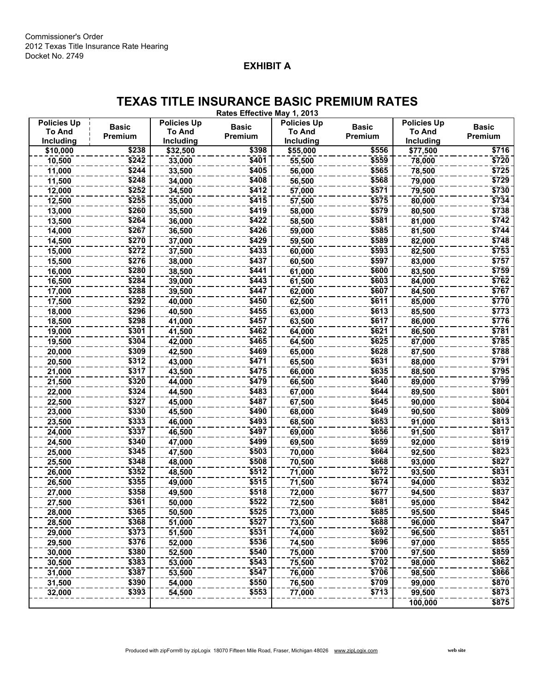# EXHIBIT A

# TEXAS TITLE INSURANCE BASIC PREMIUM RATES

Rates Effective May 1, 2013

| <b>Policies Up</b> | <b>Basic</b> | <b>Policies Up</b> | <b>Basic</b> | <b>Policies Up</b> | <b>Basic</b> | <b>Policies Up</b> | <b>Basic</b> |
|--------------------|--------------|--------------------|--------------|--------------------|--------------|--------------------|--------------|
| <b>To And</b>      | Premium      | To And             | Premium      | <b>To And</b>      | Premium      | To And             | Premium      |
| Including          |              | Including          |              | Including          |              | Including          |              |
| \$10,000           | \$238        | \$32,500           | \$398        | \$55,000           | \$556        | \$77,500           | \$716        |
| 10,500             | \$242        | 33,000             | \$401        | 55,500             | \$559        | 78,000             | \$720        |
| 11,000             | \$244        | 33,500             | \$405        | 56,000             | \$565        | 78,500             | \$725        |
| 11,500             | \$248        | 34,000             | \$408        | 56,500             | \$568        | 79,000             | \$729        |
| 12,000             | \$252        | 34,500             | \$412        | 57,000             | \$571        | 79,500             | \$730        |
| 12,500             | \$255        | 35,000             | \$415        | 57,500             | \$575        | 80,000             | \$734        |
| 13,000             | \$260        | 35,500             | \$419        | 58,000             | \$579        | 80,500             | \$738        |
| 13,500             | \$264        | 36,000             | \$422        | 58,500             | \$581        | 81,000             | \$742        |
| 14,000             | \$267        | 36,500             | \$426        | 59,000             | \$585        | 81,500             | \$744        |
| 14,500             | \$270        | 37,000             | \$429        | 59,500             | \$589        | 82,000             | \$748        |
| 15,000             | \$272        | 37,500             | \$433        | 60,000             | \$593        | 82,500             | \$753        |
| 15,500             | \$276        | 38,000             | \$437        | 60,500             | \$597        | 83,000             | \$757        |
| 16,000             | \$280        | 38,500             | \$441        | 61,000             | \$600        | 83,500             | \$759        |
| 16,500             | \$284        | 39,000             | \$443        | 61,500             | \$603        | 84,000             | \$762        |
| 17,000             | \$288        | 39,500             | \$447        | 62,000             | \$607        | 84,500             | \$767        |
| 17,500             | \$292        | 40,000             | \$450        | 62,500             | \$611        | 85,000             | \$770        |
| 18,000             | \$296        | 40,500             | \$455        | 63,000             | \$613        | 85,500             | \$773        |
| 18,500             | \$298        | 41,000             | \$457        | 63,500             | \$617        | 86,000             | \$776        |
| 19,000             | \$301        | 41,500             | \$462        | 64,000             | \$621        | 86,500             | \$781        |
| 19,500             | \$304        | 42,000             | \$465        | 64,500             | \$625        | 87,000             | \$785        |
| 20,000             | \$309        | 42,500             | \$469        | 65,000             | \$628        | 87,500             | \$788        |
| 20,500             | \$312        | 43,000             | \$471        | 65,500             | \$631        | 88,000             | \$791        |
| 21,000             | \$317        | 43,500             | \$475        | 66,000             | \$635        | 88,500             | \$795        |
| 21,500             | \$320        | 44,000             | \$479        | 66,500             | \$640        | 89,000             | \$799        |
| 22,000             | \$324        | 44,500             | \$483        | 67,000             | \$644        | 89,500             | \$801        |
| 22,500             | \$327        | 45,000             | \$487        | 67,500             | \$645        | 90,000             | \$804        |
| 23,000             | \$330        | 45,500             | \$490        | 68,000             | \$649        | 90,500             | \$809        |
| 23,500             | \$333        | 46,000             | \$493        | 68,500             | \$653        | 91,000             | \$813        |
| 24,000             | \$337        | 46,500             | \$497        | 69,000             | \$656        | 91,500             | \$817        |
|                    | \$340        |                    | \$499        |                    | \$659        |                    | \$819        |
| 24,500             | \$345        | 47,000             | \$503        | 69,500<br>70,000   | \$664        | 92,000             | \$823        |
| 25,000             | \$348        | 47,500             | \$508        |                    | \$668        | 92,500             | \$827        |
| 25,500             | \$352        | 48,000             | \$512        | 70,500             | \$672        | 93,000             | \$831        |
| 26,000             |              | 48,500             |              | 71,000             |              | 93,500             |              |
| 26,500             | \$355        | 49,000             | \$515        | 71,500             | \$674        | 94,000             | \$832        |
| 27,000             | \$358        | 49,500             | \$518        | 72,000             | \$677        | 94,500             | \$837        |
| 27,500             | \$361        | 50,000             | \$522        | 72,500             | \$681        | 95,000             | \$842        |
| 28,000             | \$365        | 50,500             | \$525        | 73,000             | \$685        | 95,500             | \$845        |
| 28,500             | \$368        | 51,000             | \$527        | 73,500             | \$688        | 96,000             | \$847        |
| 29,000             | \$373        | 51,500             | \$531        | 74,000             | \$692        | 96,500             | \$851        |
| 29,500             | \$376        | 52,000             | \$536        | 74,500             | \$696        | 97,000             | \$855        |
| 30,000             | \$380        | 52,500             | \$540        | 75,000             | \$700        | 97,500             | \$859        |
| 30,500             | 5383         | 53,000             | \$543        | 75,500             | \$702        | 98,000             | \$862        |
| 31,000             | \$387        | 53,500             | \$547        | 76,000             | \$706        | 98,500             | \$866        |
| 31,500             | \$390        | 54,000             | \$550        | 76,500             | \$709        | 99,000             | \$870        |
| 32,000             | \$393        | 54,500             | \$553        | 77,000             | \$713        | 99,500             | \$873        |
|                    |              |                    |              |                    |              | 100,000            | \$875        |